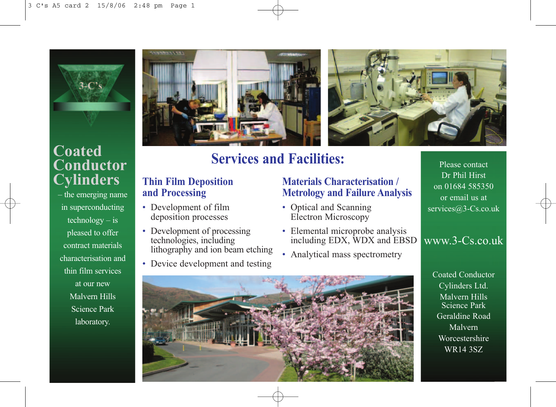

## **Coated Conductor Cylinders**

– the emerging name in superconducting technology – is pleased to offer contract materials characterisation and thin film services at our new Malvern Hills Science Park laboratory.



# **Services and Facilities:**

#### **Thin Film Deposition and Processing**

- Development of film Optical a deposition processes
- Development of processing technologies, including lithography and ion beam etching
- Device development and testing

#### **Materials Characterisation / Metrology and Failure Analysis**

- Optical and Scanning Electron Microscopy
- Elemental microprobe analysis including EDX, WDX and EBSD
- Analytical mass spectrometry

Please contact Dr Phil Hirst on 01684 585350 or email us at services@3-Cs.co.uk

## www.3-Cs.co.uk

Coated Conductor Cylinders Ltd. Malvern Hills Science Park Geraldine Road Malvern Worcestershire WR14 3SZ